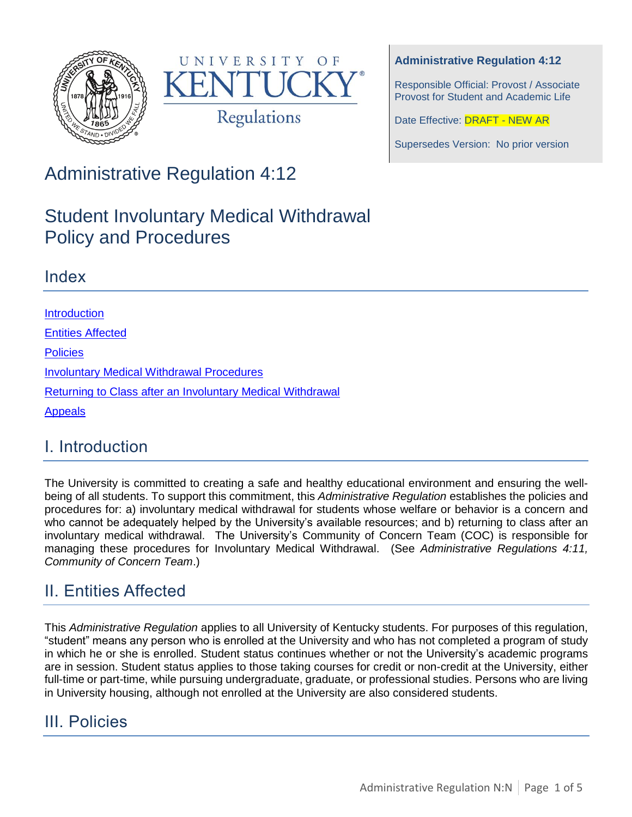



#### **Administrative Regulation 4:12**

Responsible Official: Provost / Associate Provost for Student and Academic Life

Date Effective: **DRAFT - NEW AR** 

Supersedes Version: No prior version

Administrative Regulation 4:12

# Student Involuntary Medical Withdrawal Policy and Procedures

### Index

**[Introduction](#page-0-0)** [Entities Affected](#page-0-1) **[Policies](#page-0-2)** Involuntary Medical Withdrawal Procedures [Returning to Class after](#page-2-0) an Involuntary Medical Withdrawal [Appeals](#page-3-0)

# <span id="page-0-0"></span>I. Introduction

The University is committed to creating a safe and healthy educational environment and ensuring the wellbeing of all students. To support this commitment, this *Administrative Regulation* establishes the policies and procedures for: a) involuntary medical withdrawal for students whose welfare or behavior is a concern and who cannot be adequately helped by the University's available resources; and b) returning to class after an involuntary medical withdrawal. The University's Community of Concern Team (COC) is responsible for managing these procedures for Involuntary Medical Withdrawal. (See *Administrative Regulations 4:11, Community of Concern Team*.)

# <span id="page-0-1"></span>II. Entities Affected

This *Administrative Regulation* applies to all University of Kentucky students. For purposes of this regulation, "student" means any person who is enrolled at the University and who has not completed a program of study in which he or she is enrolled. Student status continues whether or not the University's academic programs are in session. Student status applies to those taking courses for credit or non-credit at the University, either full-time or part-time, while pursuing undergraduate, graduate, or professional studies. Persons who are living in University housing, although not enrolled at the University are also considered students.

# <span id="page-0-2"></span>III. Policies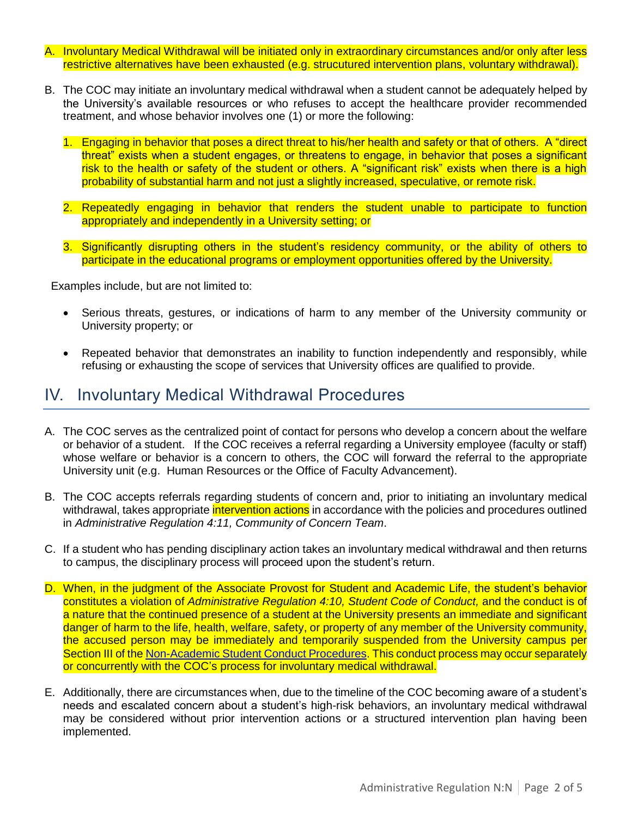- A. Involuntary Medical Withdrawal will be initiated only in extraordinary circumstances and/or only after less restrictive alternatives have been exhausted (e.g. strucutured intervention plans, voluntary withdrawal).
- B. The COC may initiate an involuntary medical withdrawal when a student cannot be adequately helped by the University's available resources or who refuses to accept the healthcare provider recommended treatment, and whose behavior involves one (1) or more the following:
	- 1. Engaging in behavior that poses a direct threat to his/her health and safety or that of others. A "direct threat" exists when a student engages, or threatens to engage, in behavior that poses a significant risk to the health or safety of the student or others. A "significant risk" exists when there is a high probability of substantial harm and not just a slightly increased, speculative, or remote risk.
	- 2. Repeatedly engaging in behavior that renders the student unable to participate to function appropriately and independently in a University setting; or
	- 3. Significantly disrupting others in the student's residency community, or the ability of others to participate in the educational programs or employment opportunities offered by the University.

Examples include, but are not limited to:

- Serious threats, gestures, or indications of harm to any member of the University community or University property; or
- Repeated behavior that demonstrates an inability to function independently and responsibly, while refusing or exhausting the scope of services that University offices are qualified to provide.

#### IV. Involuntary Medical Withdrawal Procedures

- A. The COC serves as the centralized point of contact for persons who develop a concern about the welfare or behavior of a student. If the COC receives a referral regarding a University employee (faculty or staff) whose welfare or behavior is a concern to others, the COC will forward the referral to the appropriate University unit (e.g. Human Resources or the Office of Faculty Advancement).
- B. The COC accepts referrals regarding students of concern and, prior to initiating an involuntary medical withdrawal, takes appropriate *intervention actions* in accordance with the policies and procedures outlined in *Administrative Regulation 4:11, Community of Concern Team*.
- C. If a student who has pending disciplinary action takes an involuntary medical withdrawal and then returns to campus, the disciplinary process will proceed upon the student's return.
- D. When, in the judgment of the Associate Provost for Student and Academic Life, the student's behavior constitutes a violation of *Administrative Regulation 4:10, Student Code of Conduct,* and the conduct is of a nature that the continued presence of a student at the University presents an immediate and significant danger of harm to the life, health, welfare, safety, or property of any member of the University community, the accused person may be immediately and temporarily suspended from the University campus per Section III of the [Non-Academic Student Conduct Procedures.](http://www.uky.edu/studentconduct/sites/www.uky.edu.studentconduct/files/AR%204-10%20Student%20Code%20and%20Procedures.pdf) This conduct process may occur separately or concurrently with the COC's process for involuntary medical withdrawal.
- E. Additionally, there are circumstances when, due to the timeline of the COC becoming aware of a student's needs and escalated concern about a student's high-risk behaviors, an involuntary medical withdrawal may be considered without prior intervention actions or a structured intervention plan having been implemented.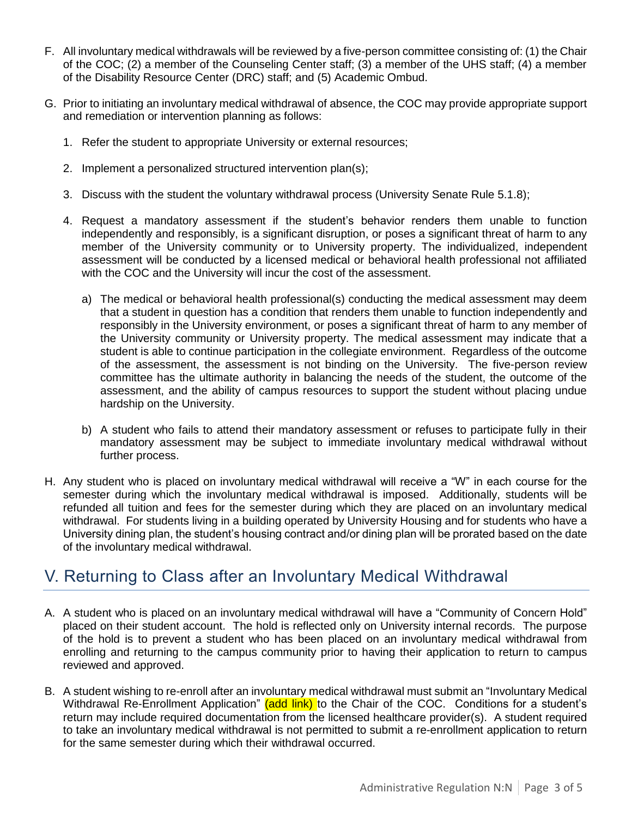- F. All involuntary medical withdrawals will be reviewed by a five-person committee consisting of: (1) the Chair of the COC; (2) a member of the Counseling Center staff; (3) a member of the UHS staff; (4) a member of the Disability Resource Center (DRC) staff; and (5) Academic Ombud.
- G. Prior to initiating an involuntary medical withdrawal of absence, the COC may provide appropriate support and remediation or intervention planning as follows:
	- 1. Refer the student to appropriate University or external resources;
	- 2. Implement a personalized structured intervention plan(s);
	- 3. Discuss with the student the voluntary withdrawal process (University Senate Rule 5.1.8);
	- 4. Request a mandatory assessment if the student's behavior renders them unable to function independently and responsibly, is a significant disruption, or poses a significant threat of harm to any member of the University community or to University property. The individualized, independent assessment will be conducted by a licensed medical or behavioral health professional not affiliated with the COC and the University will incur the cost of the assessment.
		- a) The medical or behavioral health professional(s) conducting the medical assessment may deem that a student in question has a condition that renders them unable to function independently and responsibly in the University environment, or poses a significant threat of harm to any member of the University community or University property. The medical assessment may indicate that a student is able to continue participation in the collegiate environment. Regardless of the outcome of the assessment, the assessment is not binding on the University. The five-person review committee has the ultimate authority in balancing the needs of the student, the outcome of the assessment, and the ability of campus resources to support the student without placing undue hardship on the University.
		- b) A student who fails to attend their mandatory assessment or refuses to participate fully in their mandatory assessment may be subject to immediate involuntary medical withdrawal without further process.
- H. Any student who is placed on involuntary medical withdrawal will receive a "W" in each course for the semester during which the involuntary medical withdrawal is imposed. Additionally, students will be refunded all tuition and fees for the semester during which they are placed on an involuntary medical withdrawal. For students living in a building operated by University Housing and for students who have a University dining plan, the student's housing contract and/or dining plan will be prorated based on the date of the involuntary medical withdrawal.

### <span id="page-2-0"></span>V. Returning to Class after an Involuntary Medical Withdrawal

- A. A student who is placed on an involuntary medical withdrawal will have a "Community of Concern Hold" placed on their student account. The hold is reflected only on University internal records. The purpose of the hold is to prevent a student who has been placed on an involuntary medical withdrawal from enrolling and returning to the campus community prior to having their application to return to campus reviewed and approved.
- B. A student wishing to re-enroll after an involuntary medical withdrawal must submit an "Involuntary Medical Withdrawal Re-Enrollment Application" (add link) to the Chair of the COC. Conditions for a student's return may include required documentation from the licensed healthcare provider(s). A student required to take an involuntary medical withdrawal is not permitted to submit a re-enrollment application to return for the same semester during which their withdrawal occurred.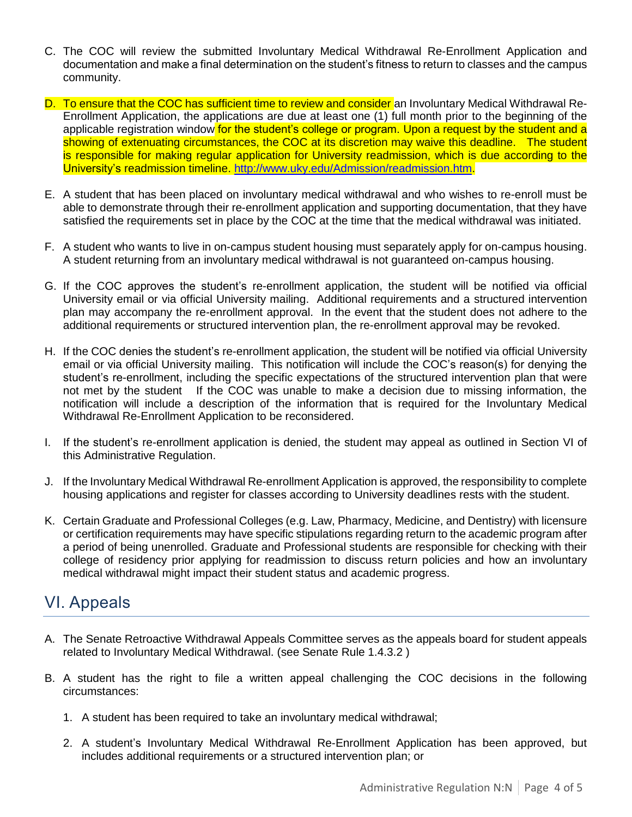- C. The COC will review the submitted Involuntary Medical Withdrawal Re-Enrollment Application and documentation and make a final determination on the student's fitness to return to classes and the campus community.
- D. To ensure that the COC has sufficient time to review and consider an Involuntary Medical Withdrawal Re-Enrollment Application, the applications are due at least one (1) full month prior to the beginning of the applicable registration window for the student's college or program. Upon a request by the student and a showing of extenuating circumstances, the COC at its discretion may waive this deadline. The student is responsible for making regular application for University readmission, which is due according to the University's readmission timeline. [http://www.uky.edu/Admission/readmission.htm.](http://www.uky.edu/Admission/readmission.htm)
- E. A student that has been placed on involuntary medical withdrawal and who wishes to re-enroll must be able to demonstrate through their re-enrollment application and supporting documentation, that they have satisfied the requirements set in place by the COC at the time that the medical withdrawal was initiated.
- F. A student who wants to live in on-campus student housing must separately apply for on-campus housing. A student returning from an involuntary medical withdrawal is not guaranteed on-campus housing.
- G. If the COC approves the student's re-enrollment application, the student will be notified via official University email or via official University mailing. Additional requirements and a structured intervention plan may accompany the re-enrollment approval. In the event that the student does not adhere to the additional requirements or structured intervention plan, the re-enrollment approval may be revoked.
- H. If the COC denies the student's re-enrollment application, the student will be notified via official University email or via official University mailing. This notification will include the COC's reason(s) for denying the student's re-enrollment, including the specific expectations of the structured intervention plan that were not met by the student If the COC was unable to make a decision due to missing information, the notification will include a description of the information that is required for the Involuntary Medical Withdrawal Re-Enrollment Application to be reconsidered.
- I. If the student's re-enrollment application is denied, the student may appeal as outlined in Section VI of this Administrative Regulation.
- J. If the Involuntary Medical Withdrawal Re-enrollment Application is approved, the responsibility to complete housing applications and register for classes according to University deadlines rests with the student.
- K. Certain Graduate and Professional Colleges (e.g. Law, Pharmacy, Medicine, and Dentistry) with licensure or certification requirements may have specific stipulations regarding return to the academic program after a period of being unenrolled. Graduate and Professional students are responsible for checking with their college of residency prior applying for readmission to discuss return policies and how an involuntary medical withdrawal might impact their student status and academic progress.

# <span id="page-3-0"></span>VI. Appeals

- A. The Senate Retroactive Withdrawal Appeals Committee serves as the appeals board for student appeals related to Involuntary Medical Withdrawal. (see Senate Rule 1.4.3.2 )
- B. A student has the right to file a written appeal challenging the COC decisions in the following circumstances:
	- 1. A student has been required to take an involuntary medical withdrawal;
	- 2. A student's Involuntary Medical Withdrawal Re-Enrollment Application has been approved, but includes additional requirements or a structured intervention plan; or